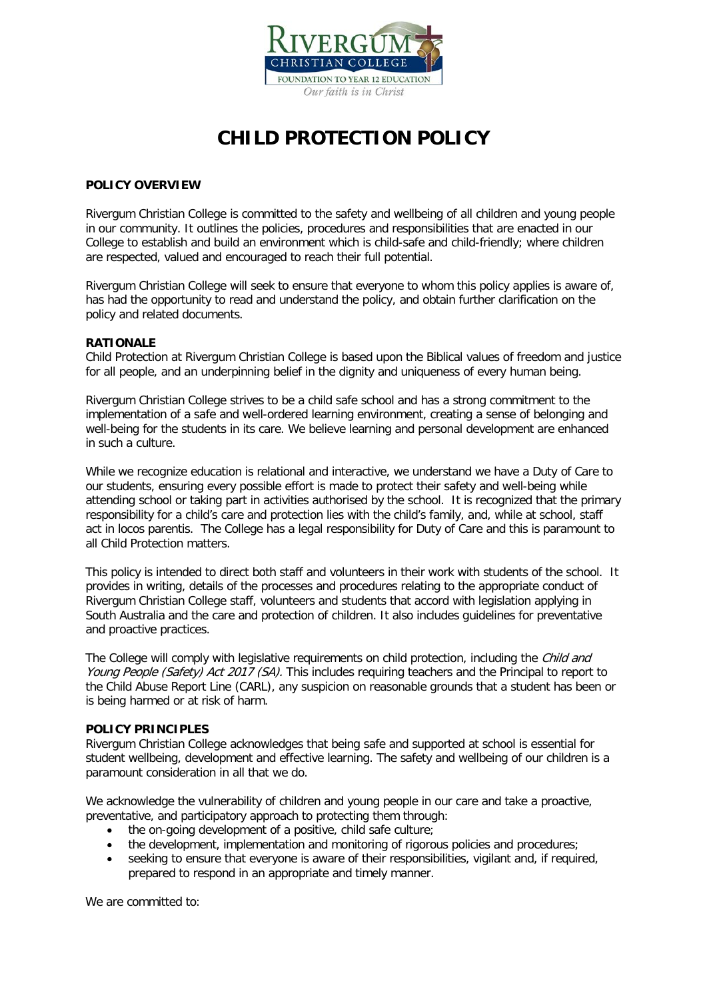

# **CHILD PROTECTION POLICY**

## **POLICY OVERVIEW**

Rivergum Christian College is committed to the safety and wellbeing of all children and young people in our community. It outlines the policies, procedures and responsibilities that are enacted in our College to establish and build an environment which is child-safe and child-friendly; where children are respected, valued and encouraged to reach their full potential.

Rivergum Christian College will seek to ensure that everyone to whom this policy applies is aware of, has had the opportunity to read and understand the policy, and obtain further clarification on the policy and related documents.

## **RATIONALE**

Child Protection at Rivergum Christian College is based upon the Biblical values of freedom and justice for all people, and an underpinning belief in the dignity and uniqueness of every human being.

Rivergum Christian College strives to be a child safe school and has a strong commitment to the implementation of a safe and well-ordered learning environment, creating a sense of belonging and well-being for the students in its care. We believe learning and personal development are enhanced in such a culture.

While we recognize education is relational and interactive, we understand we have a Duty of Care to our students, ensuring every possible effort is made to protect their safety and well-being while attending school or taking part in activities authorised by the school. It is recognized that the primary responsibility for a child's care and protection lies with the child's family, and, while at school, staff act in locos parentis. The College has a legal responsibility for Duty of Care and this is paramount to all Child Protection matters.

This policy is intended to direct both staff and volunteers in their work with students of the school. It provides in writing, details of the processes and procedures relating to the appropriate conduct of Rivergum Christian College staff, volunteers and students that accord with legislation applying in South Australia and the care and protection of children. It also includes guidelines for preventative and proactive practices.

The College will comply with legislative requirements on child protection, including the *Child and* Young People (Safety) Act 2017 (SA). This includes requiring teachers and the Principal to report to the Child Abuse Report Line (CARL), any suspicion on reasonable grounds that a student has been or is being harmed or at risk of harm.

## **POLICY PRINCIPLES**

Rivergum Christian College acknowledges that being safe and supported at school is essential for student wellbeing, development and effective learning. The safety and wellbeing of our children is a paramount consideration in all that we do.

We acknowledge the vulnerability of children and young people in our care and take a proactive, preventative, and participatory approach to protecting them through:

- the on-going development of a positive, child safe culture;
- the development, implementation and monitoring of rigorous policies and procedures;
- seeking to ensure that everyone is aware of their responsibilities, vigilant and, if required, prepared to respond in an appropriate and timely manner.

We are committed to: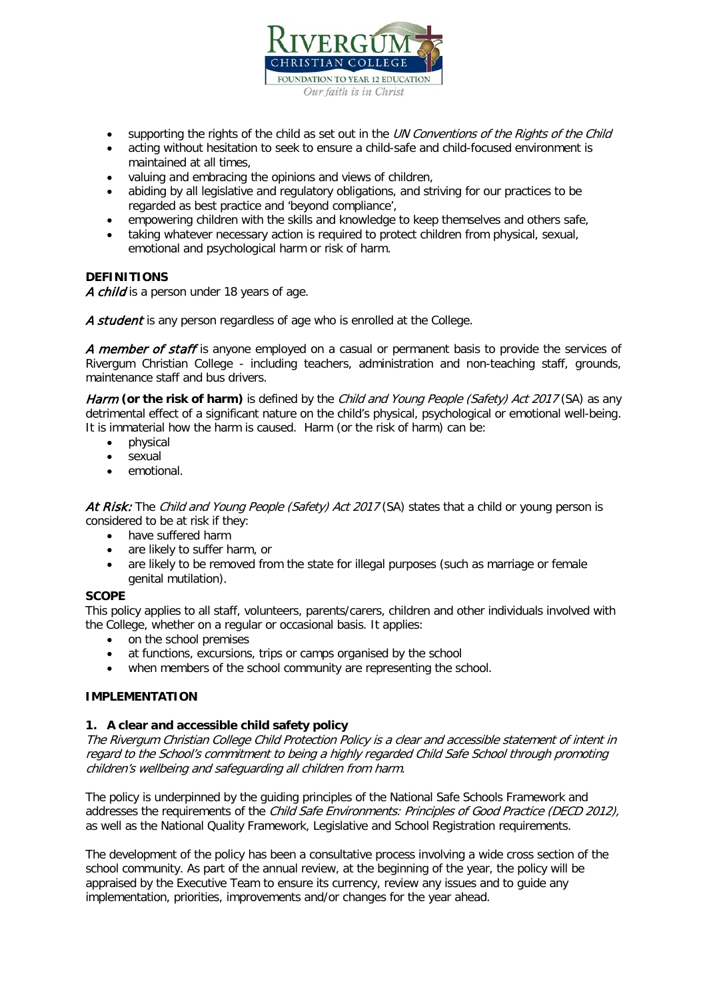

- supporting the rights of the child as set out in the UN Conventions of the Rights of the Child
- acting without hesitation to seek to ensure a child-safe and child-focused environment is maintained at all times,
- valuing and embracing the opinions and views of children,
- abiding by all legislative and regulatory obligations, and striving for our practices to be regarded as best practice and 'beyond compliance',
- empowering children with the skills and knowledge to keep themselves and others safe,
- taking whatever necessary action is required to protect children from physical, sexual, emotional and psychological harm or risk of harm.

#### **DEFINITIONS**

A child is a person under 18 years of age.

A student is any person regardless of age who is enrolled at the College.

A member of staff is anyone employed on a casual or permanent basis to provide the services of Rivergum Christian College - including teachers, administration and non-teaching staff, grounds, maintenance staff and bus drivers.

Harm **(or the risk of harm)** is defined by the *Child and Young People (Safety) Act 2017* (SA) as any detrimental effect of a significant nature on the child's physical, psychological or emotional well-being. It is immaterial how the harm is caused. Harm (or the risk of harm) can be:

- physical
- sexual
- emotional.

At Risk: The Child and Young People (Safety) Act 2017 (SA) states that a child or young person is considered to be at risk if they:

- have suffered harm
- are likely to suffer harm, or
- are likely to be removed from the state for illegal purposes (such as marriage or female genital mutilation).

## **SCOPE**

This policy applies to all staff, volunteers, parents/carers, children and other individuals involved with the College, whether on a regular or occasional basis. It applies:

- on the school premises
- at functions, excursions, trips or camps organised by the school
- when members of the school community are representing the school.

## **IMPLEMENTATION**

#### **1. A clear and accessible child safety policy**

The Rivergum Christian College Child Protection Policy is a clear and accessible statement of intent in regard to the School's commitment to being a highly regarded Child Safe School through promoting children's wellbeing and safeguarding all children from harm.

The policy is underpinned by the guiding principles of the National Safe Schools Framework and addresses the requirements of the Child Safe Environments: Principles of Good Practice (DECD 2012), as well as the National Quality Framework, Legislative and School Registration requirements.

The development of the policy has been a consultative process involving a wide cross section of the school community. As part of the annual review, at the beginning of the year, the policy will be appraised by the Executive Team to ensure its currency, review any issues and to guide any implementation, priorities, improvements and/or changes for the year ahead.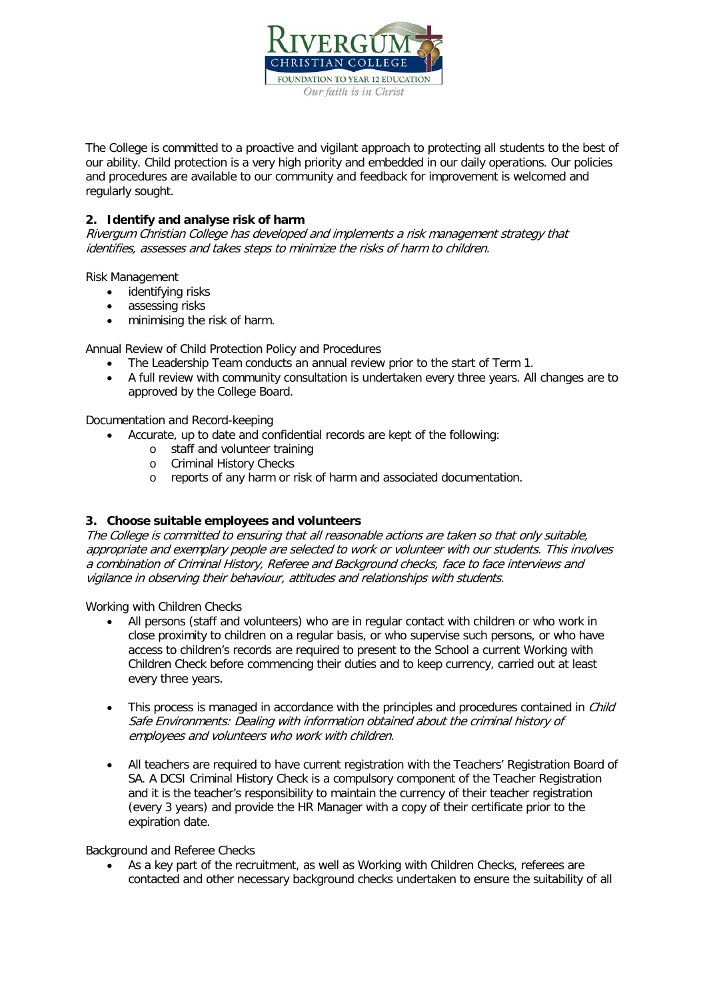

The College is committed to a proactive and vigilant approach to protecting all students to the best of our ability. Child protection is a very high priority and embedded in our daily operations. Our policies and procedures are available to our community and feedback for improvement is welcomed and regularly sought.

# **2. Identify and analyse risk of harm**

Rivergum Christian College has developed and implements a risk management strategy that identifies, assesses and takes steps to minimize the risks of harm to children.

Risk Management

- identifying risks
- assessing risks
- minimising the risk of harm.

Annual Review of Child Protection Policy and Procedures

- The Leadership Team conducts an annual review prior to the start of Term 1.
- A full review with community consultation is undertaken every three years. All changes are to approved by the College Board.

Documentation and Record-keeping

- Accurate, up to date and confidential records are kept of the following:
	- o staff and volunteer training
	- o Criminal History Checks
	- o reports of any harm or risk of harm and associated documentation.

## **3. Choose suitable employees and volunteers**

The College is committed to ensuring that all reasonable actions are taken so that only suitable, appropriate and exemplary people are selected to work or volunteer with our students. This involves a combination of Criminal History, Referee and Background checks, face to face interviews and vigilance in observing their behaviour, attitudes and relationships with students.

Working with Children Checks

- All persons (staff and volunteers) who are in regular contact with children or who work in close proximity to children on a regular basis, or who supervise such persons, or who have access to children's records are required to present to the School a current Working with Children Check before commencing their duties and to keep currency, carried out at least every three years.
- This process is managed in accordance with the principles and procedures contained in *Child* Safe Environments: Dealing with information obtained about the criminal history of employees and volunteers who work with children.
- All teachers are required to have current registration with the Teachers' Registration Board of SA. A DCSI Criminal History Check is a compulsory component of the Teacher Registration and it is the teacher's responsibility to maintain the currency of their teacher registration (every 3 years) and provide the HR Manager with a copy of their certificate prior to the expiration date.

Background and Referee Checks

• As a key part of the recruitment, as well as Working with Children Checks, referees are contacted and other necessary background checks undertaken to ensure the suitability of all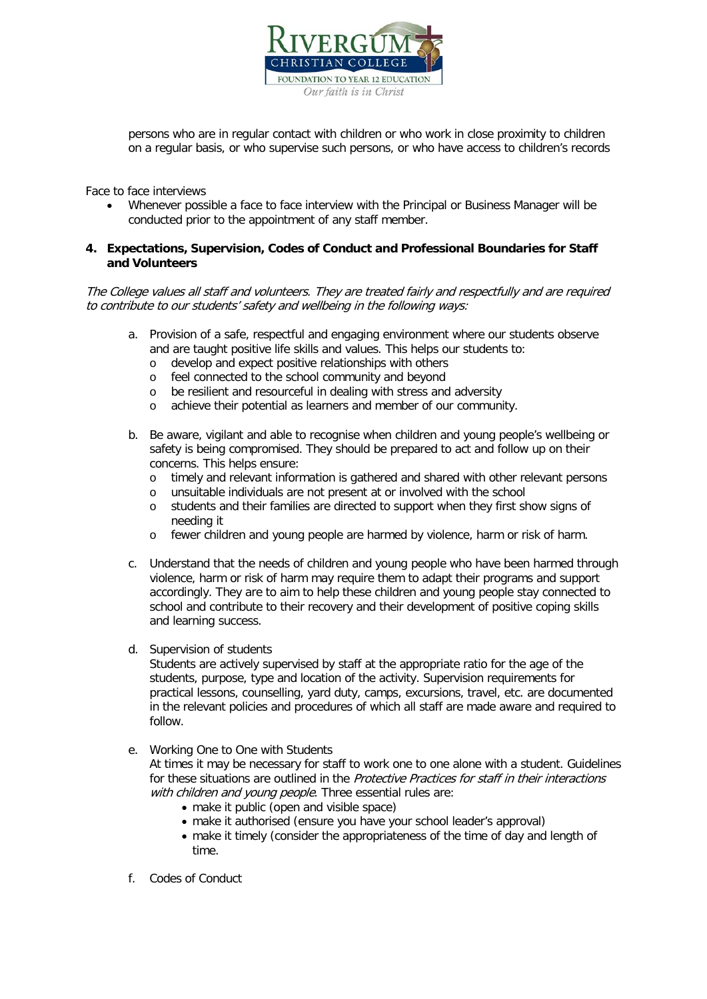

persons who are in regular contact with children or who work in close proximity to children on a regular basis, or who supervise such persons, or who have access to children's records

Face to face interviews

• Whenever possible a face to face interview with the Principal or Business Manager will be conducted prior to the appointment of any staff member.

## **4. Expectations, Supervision, Codes of Conduct and Professional Boundaries for Staff and Volunteers**

The College values all staff and volunteers. They are treated fairly and respectfully and are required to contribute to our students' safety and wellbeing in the following ways:

- a. Provision of a safe, respectful and engaging environment where our students observe and are taught positive life skills and values. This helps our students to:
	- o develop and expect positive relationships with others
	- o feel connected to the school community and beyond
	- o be resilient and resourceful in dealing with stress and adversity
	- o achieve their potential as learners and member of our community.
- b. Be aware, vigilant and able to recognise when children and young people's wellbeing or safety is being compromised. They should be prepared to act and follow up on their concerns. This helps ensure:
	- o timely and relevant information is gathered and shared with other relevant persons
	- unsuitable individuals are not present at or involved with the school
	- o students and their families are directed to support when they first show signs of needing it
	- o fewer children and young people are harmed by violence, harm or risk of harm.
- c. Understand that the needs of children and young people who have been harmed through violence, harm or risk of harm may require them to adapt their programs and support accordingly. They are to aim to help these children and young people stay connected to school and contribute to their recovery and their development of positive coping skills and learning success.
- d. Supervision of students

Students are actively supervised by staff at the appropriate ratio for the age of the students, purpose, type and location of the activity. Supervision requirements for practical lessons, counselling, yard duty, camps, excursions, travel, etc. are documented in the relevant policies and procedures of which all staff are made aware and required to follow.

e. Working One to One with Students

At times it may be necessary for staff to work one to one alone with a student. Guidelines for these situations are outlined in the Protective Practices for staff in their interactions with children and young people. Three essential rules are:

- make it public (open and visible space)
- make it authorised (ensure you have your school leader's approval)
- make it timely (consider the appropriateness of the time of day and length of time.
- f. Codes of Conduct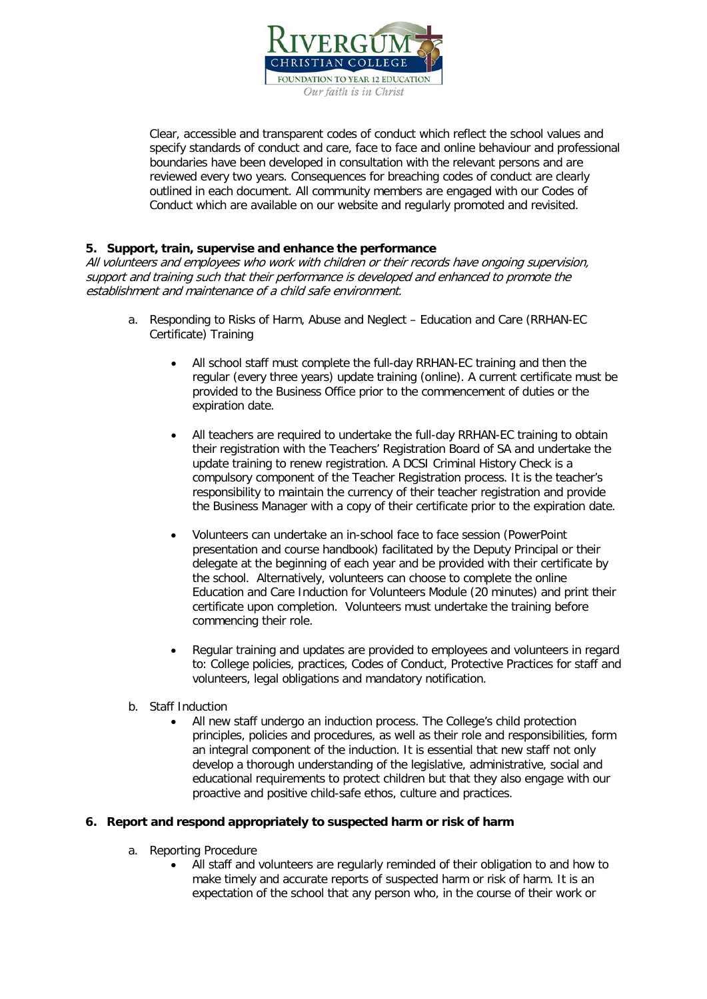

Clear, accessible and transparent codes of conduct which reflect the school values and specify standards of conduct and care, face to face and online behaviour and professional boundaries have been developed in consultation with the relevant persons and are reviewed every two years. Consequences for breaching codes of conduct are clearly outlined in each document. All community members are engaged with our Codes of Conduct which are available on our website and regularly promoted and revisited.

## **5. Support, train, supervise and enhance the performance**

All volunteers and employees who work with children or their records have ongoing supervision, support and training such that their performance is developed and enhanced to promote the establishment and maintenance of a child safe environment.

- a. Responding to Risks of Harm, Abuse and Neglect Education and Care (RRHAN-EC Certificate) Training
	- All school staff must complete the full-day RRHAN-EC training and then the regular (every three years) update training (online). A current certificate must be provided to the Business Office prior to the commencement of duties or the expiration date.
	- All teachers are required to undertake the full-day RRHAN-EC training to obtain their registration with the Teachers' Registration Board of SA and undertake the update training to renew registration. A DCSI Criminal History Check is a compulsory component of the Teacher Registration process. It is the teacher's responsibility to maintain the currency of their teacher registration and provide the Business Manager with a copy of their certificate prior to the expiration date.
	- Volunteers can undertake an in-school face to face session (PowerPoint presentation and course handbook) facilitated by the Deputy Principal or their delegate at the beginning of each year and be provided with their certificate by the school. Alternatively, volunteers can choose to complete the online Education and Care Induction for Volunteers Module (20 minutes) and print their certificate upon completion. Volunteers must undertake the training before commencing their role.
	- Regular training and updates are provided to employees and volunteers in regard to: College policies, practices, Codes of Conduct, Protective Practices for staff and volunteers, legal obligations and mandatory notification.
- b. Staff Induction
	- All new staff undergo an induction process. The College's child protection principles, policies and procedures, as well as their role and responsibilities, form an integral component of the induction. It is essential that new staff not only develop a thorough understanding of the legislative, administrative, social and educational requirements to protect children but that they also engage with our proactive and positive child-safe ethos, culture and practices.

#### **6. Report and respond appropriately to suspected harm or risk of harm**

- a. Reporting Procedure
	- All staff and volunteers are regularly reminded of their obligation to and how to make timely and accurate reports of suspected harm or risk of harm. It is an expectation of the school that any person who, in the course of their work or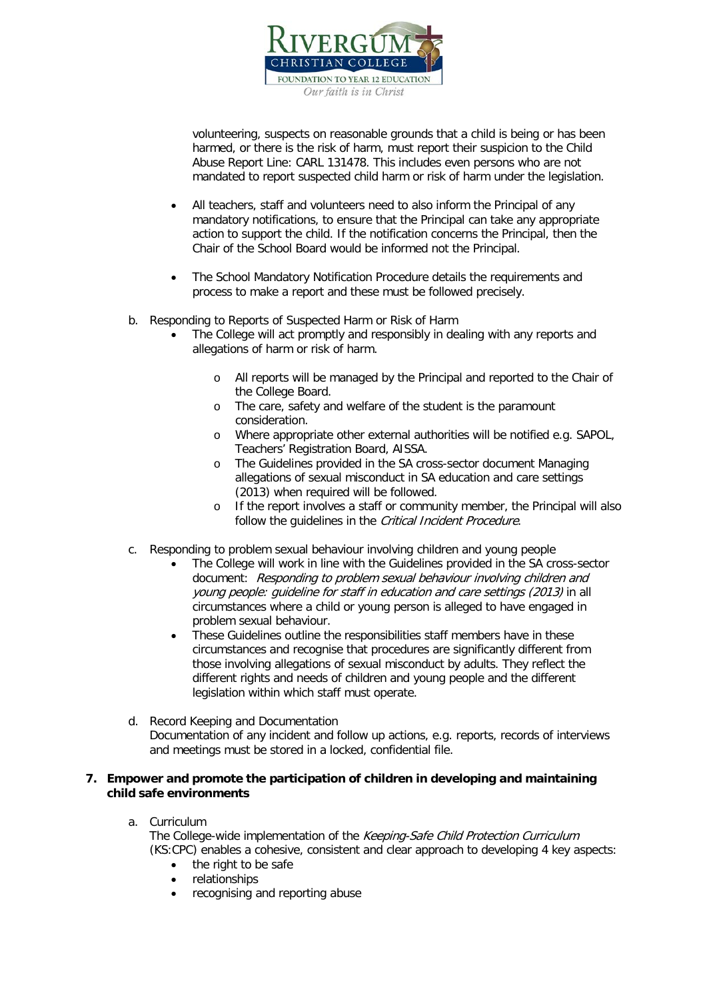

volunteering, suspects on reasonable grounds that a child is being or has been harmed, or there is the risk of harm, must report their suspicion to the Child Abuse Report Line: CARL 131478. This includes even persons who are not mandated to report suspected child harm or risk of harm under the legislation.

- All teachers, staff and volunteers need to also inform the Principal of any mandatory notifications, to ensure that the Principal can take any appropriate action to support the child. If the notification concerns the Principal, then the Chair of the School Board would be informed not the Principal.
- The School Mandatory Notification Procedure details the requirements and process to make a report and these must be followed precisely.
- b. Responding to Reports of Suspected Harm or Risk of Harm
	- The College will act promptly and responsibly in dealing with any reports and allegations of harm or risk of harm.
		- o All reports will be managed by the Principal and reported to the Chair of the College Board.
		- o The care, safety and welfare of the student is the paramount consideration.
		- o Where appropriate other external authorities will be notified e.g. SAPOL, Teachers' Registration Board, AISSA.
		- o The Guidelines provided in the SA cross-sector document Managing allegations of sexual misconduct in SA education and care settings (2013) when required will be followed.
		- o If the report involves a staff or community member, the Principal will also follow the quidelines in the *Critical Incident Procedure*.
- c. Responding to problem sexual behaviour involving children and young people
	- The College will work in line with the Guidelines provided in the SA cross-sector document: Responding to problem sexual behaviour involving children and young people: guideline for staff in education and care settings (2013) in all circumstances where a child or young person is alleged to have engaged in problem sexual behaviour.
	- These Guidelines outline the responsibilities staff members have in these circumstances and recognise that procedures are significantly different from those involving allegations of sexual misconduct by adults. They reflect the different rights and needs of children and young people and the different legislation within which staff must operate.
- d. Record Keeping and Documentation Documentation of any incident and follow up actions, e.g. reports, records of interviews and meetings must be stored in a locked, confidential file.

## **7. Empower and promote the participation of children in developing and maintaining child safe environments**

a. Curriculum

The College-wide implementation of the Keeping-Safe Child Protection Curriculum (KS:CPC) enables a cohesive, consistent and clear approach to developing 4 key aspects:

- the right to be safe
- relationships
- recognising and reporting abuse